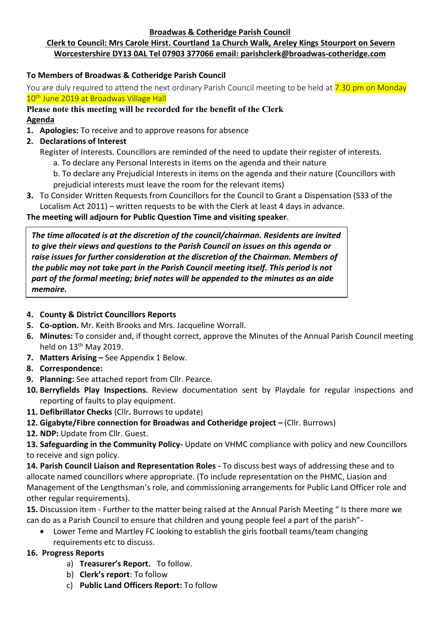#### **Broadwas & Cotheridge Parish Council**

# **Clerk to Council: Mrs Carole Hirst. Courtland 1a Church Walk, Areley Kings Stourport on Severn Worcestershire DY13 0AL Tel 07903 377066 email: parishclerk@broadwas-cotheridge.com**

# **To Members of Broadwas & Cotheridge Parish Council**

You are duly required to attend the next ordinary Parish Council meeting to be held at 7.30 pm on Monday 10<sup>th</sup> June 2019 at Broadwas Village Hall

## **Please note this meeting will be recorded for the benefit of the Clerk Agenda**

- **1. Apologies:** To receive and to approve reasons for absence
- **2. Declarations of Interest**
	- Register of Interests. Councillors are reminded of the need to update their register of interests.
		- a. To declare any Personal Interests in items on the agenda and their nature
		- b. To declare any Prejudicial Interests in items on the agenda and their nature (Councillors with prejudicial interests must leave the room for the relevant items)
- **3.** To Consider Written Requests from Councillors for the Council to Grant a Dispensation (S33 of the Localism Act 2011) – written requests to be with the Clerk at least 4 days in advance.

## **The meeting will adjourn for Public Question Time and visiting speaker**.

*The time allocated is at the discretion of the council/chairman. Residents are invited to give their views and questions to the Parish Council on issues on this agenda or raise issues for further consideration at the discretion of the Chairman. Members of the public may not take part in the Parish Council meeting itself. This period is not part of the formal meeting; brief notes will be appended to the minutes as an aide memoire.*

## **4. County & District Councillors Reports**

- **5. Co-option.** Mr. Keith Brooks and Mrs. Jacqueline Worrall.
- **6. Minutes:** To consider and, if thought correct, approve the Minutes of the Annual Parish Council meeting held on 13<sup>th</sup> May 2019.
- **7. Matters Arising –** See Appendix 1 Below.
- **8. Correspondence:**
- **9. Planning:** See attached report from Cllr. Pearce.
- **10. Berryfields Play Inspections.** Review documentation sent by Playdale for regular inspections and reporting of faults to play equipment.
- **11. Defibrillator Checks** (Cllr**.** Burrows to update)
- **12. Gigabyte/Fibre connection for Broadwas and Cotheridge project –** (Cllr. Burrows)
- **12. NDP:** Update from Cllr. Guest.

**13. Safeguarding in the Community Policy-** Update on VHMC compliance with policy and new Councillors to receive and sign policy.

**14. Parish Council Liaison and Representation Roles -** To discuss best ways of addressing these and to allocate named councillors where appropriate. (To include representation on the PHMC, Liasion and Management of the Lengthsman's role, and commissioning arrangements for Public Land Officer role and other regular requirements).

**15.** Discussion item - Further to the matter being raised at the Annual Parish Meeting " Is there more we can do as a Parish Council to ensure that children and young people feel a part of the parish"-

• Lower Teme and Martley FC looking to establish the girls football teams/team changing requirements etc to discuss.

### **16. Progress Reports**

- a) **Treasurer's Report.** To follow.
- b) **Clerk's report**: To follow
- c) **Public Land Officers Report:** To follow